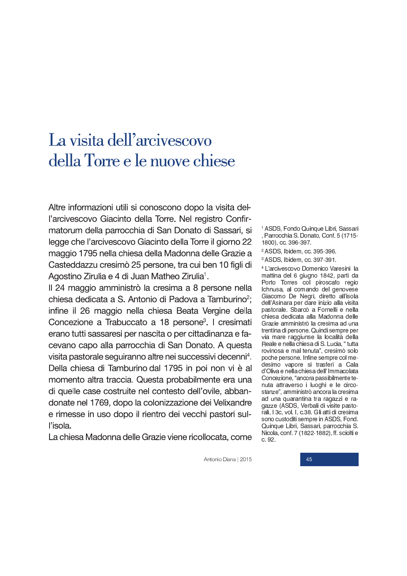## La visita dell'arcivescovo della Torre e le nuove chiese

Altre informazioni utili si conoscono dopo la visita dell'arcivescovo Giacinto della Torre. Nel registro Confirmatorum della parrocchia di San Donato di Sassari, si legge che l'arcivescovo Giacinto della Torre il giorno 22 maggio 1795 nella chiesa della Madonna delle Grazie a Casteddazzu cresimò 25 persone, tra cui ben 10 figli di Agostino Zirulia e 4 di Juan Matheo Zirulia<sup>1</sup>.

Il 24 maggio amministrò la cresima a 8 persone nella chiesa dedicata a S. Antonio di Padova a Tamburino<sup>2</sup>; infine il 26 maggio nella chiesa Beata Vergine della Concezione a Trabuccato a 18 persone<sup>3</sup>. I cresimati erano tutti sassaresi per nascita o per cittadinanza e facevano capo alla parrocchia di San Donato. A questa visita pastorale sequiranno altre nei successivi decenni<sup>4</sup>. Della chiesa di Tamburino dal 1795 in poi non vi è al momento altra traccia. Questa probabilmente era una di quelle case costruite nel contesto dell'ovile, abbandonate nel 1769, dopo la colonizzazione dei Velixandre e rimesse in uso dopo il rientro dei vecchi pastori sull'isola.

La chiesa Madonna delle Grazie viene ricollocata, come

<sup>1</sup> ASDS, Fondo Quinque Libri, Sassari , Parrocchia S. Donato, Conf. 5 (1715-1800), cc. 396-397.

<sup>2</sup> ASDS, Ibidem, cc. 395-396.

<sup>3</sup> ASDS, Ibidem, cc. 397-391.

<sup>4</sup> L'arcivescovo Domenico Varesini la mattina del 6 giugno 1842, partì da Porto Torres col piroscafo regio Ichnusa, al comando del genovese Giacomo De Negri, diretto all'isola dell'Asinara per dare inizio alla visita pastorale. Sbarcò a Fornelli e nella chiesa dedicata alla Madonna delle Grazie amministrò la cresima ad una trentina di persone. Quindi sempre per via mare raggiunse la località della Reale e nella chiesa di S. Lucia, " tutta rovinosa e mal tenuta", cresimò solo poche persone. Infine sempre col medesimo vapore si trasferì a Cala d'Oliva e nella chiesa dell'Immacolata Concezione, "ancora passibilmente tenuta attraverso i luoghi e le circostanze", amministrò ancora la cresima ad una quarantina tra ragazzi e ragazze (ASDS, Verbali di visite pastorali, I 3c, vol. I, c.38. Gli atti di cresima sono custoditi sempre in ASDS, Fond. Quinque Libri, Sassari, parrocchia S. Nicola, conf. 7 (1822-1882), ff. sciolti e c. 92.

Antonio Diana | 2015

45